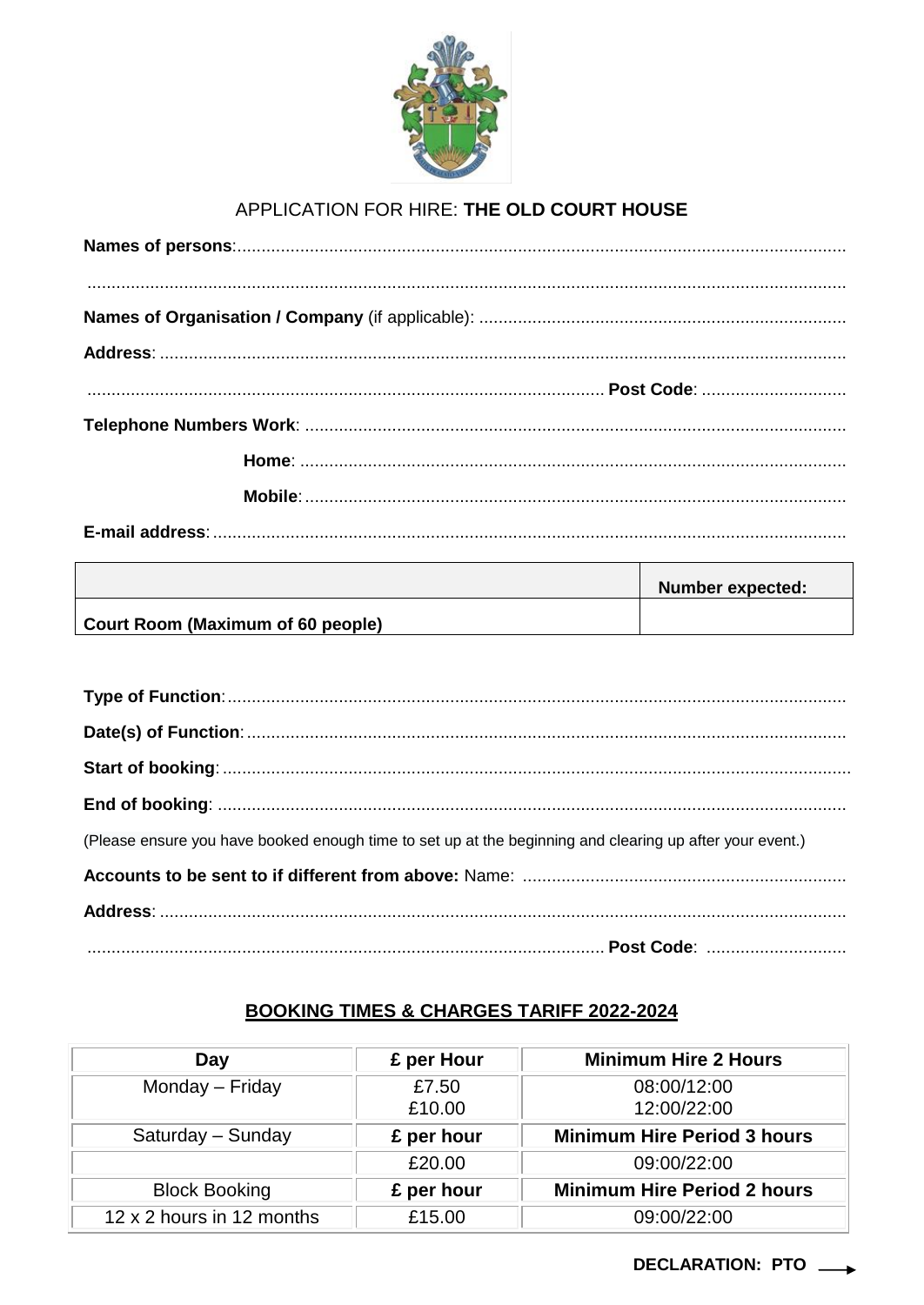

## APPLICATION FOR HIRE: THE OLD COURT HOUSE

| $\begin{smallmatrix}&&&&&&&&&\\ &&&&&&&&&\\ &&&&&&&&&&&\\ &&&&&&&&&&&\\ &&&&&&&&&&&\\ &&&&&&&&&&&\\ &&&&&&&&&&&\\ &&&&&&&&&&&\\ &&&&&&&&&&&\\ &&&&&&&&&&&\\ &&&&&&&&&&&\\ &&&&&&&&&&&\\ &&&&&&&&&&&\\ &&&&&&&&&&&&&\\ &&&&&&&&&&&&&\\ &&&&&&&&&&&&&\\ &&&&&&&&&&&&&\\ &&&&&&&&&&&&&\\ &&&&&&&&&&&&&\\ &&&&&&&&&&&&&&&\\ &&&&&&&&&&&&&&&\\ &&&&&&&&&&&&&&&\\ &&&&&&&&&&&&&&&\\ &&&&&&&&&&&&&&&\\ &&&&&&&&&&&&&&&\\ &&&&&&&&&&&&&&&\\ &&&&&&&&&&&&&&&\\ &&&&&&&&&&$ |
|-------------------------------------------------------------------------------------------------------------------------------------------------------------------------------------------------------------------------------------------------------------------------------------------------------------------------------------------------------------------------------------------------------------------------------------------------------------------|
|                                                                                                                                                                                                                                                                                                                                                                                                                                                                   |
|                                                                                                                                                                                                                                                                                                                                                                                                                                                                   |
|                                                                                                                                                                                                                                                                                                                                                                                                                                                                   |
|                                                                                                                                                                                                                                                                                                                                                                                                                                                                   |
|                                                                                                                                                                                                                                                                                                                                                                                                                                                                   |
|                                                                                                                                                                                                                                                                                                                                                                                                                                                                   |
|                                                                                                                                                                                                                                                                                                                                                                                                                                                                   |

|                                   | <b>Number expected:</b> |
|-----------------------------------|-------------------------|
| Court Room (Maximum of 60 people) |                         |

| (Please ensure you have booked enough time to set up at the beginning and clearing up after your event.) |
|----------------------------------------------------------------------------------------------------------|
|                                                                                                          |
|                                                                                                          |
|                                                                                                          |

## **BOOKING TIMES & CHARGES TARIFF 2022-2024**

| Day                       | £ per Hour | <b>Minimum Hire 2 Hours</b>        |
|---------------------------|------------|------------------------------------|
| Monday - Friday           | £7.50      | 08:00/12:00                        |
|                           | £10.00     | 12:00/22:00                        |
| Saturday - Sunday         | £ per hour | <b>Minimum Hire Period 3 hours</b> |
|                           | £20.00     | 09:00/22:00                        |
| <b>Block Booking</b>      | £ per hour | <b>Minimum Hire Period 2 hours</b> |
| 12 x 2 hours in 12 months | £15.00     | 09:00/22:00                        |